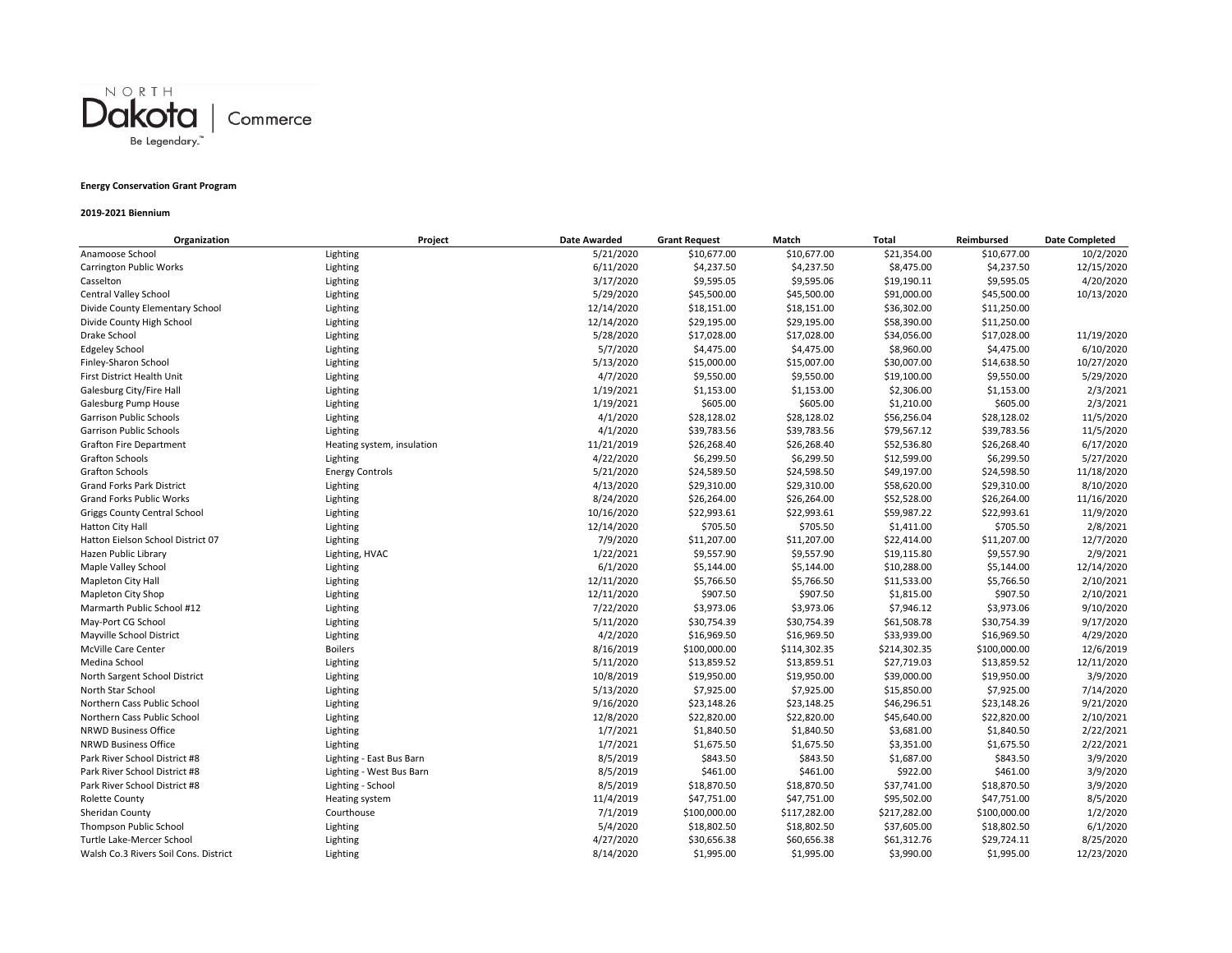

# **Energy Conservation Grant Program**

### **2019‐2021 Biennium**

| Organization                          | Project                    | <b>Date Awarded</b> | <b>Grant Request</b> | Match        | <b>Total</b> | Reimbursed   | <b>Date Completed</b> |
|---------------------------------------|----------------------------|---------------------|----------------------|--------------|--------------|--------------|-----------------------|
| Anamoose School                       | Lighting                   | 5/21/2020           | \$10,677.00          | \$10,677.00  | \$21,354.00  | \$10,677.00  | 10/2/2020             |
| <b>Carrington Public Works</b>        | Lighting                   | 6/11/2020           | \$4,237.50           | \$4,237.50   | \$8,475.00   | \$4,237.50   | 12/15/2020            |
| Casselton                             | Lighting                   | 3/17/2020           | \$9,595.05           | \$9,595.06   | \$19,190.11  | \$9,595.05   | 4/20/2020             |
| Central Valley School                 | Lighting                   | 5/29/2020           | \$45,500.00          | \$45,500.00  | \$91,000.00  | \$45,500.00  | 10/13/2020            |
| Divide County Elementary School       | Lighting                   | 12/14/2020          | \$18,151.00          | \$18,151.00  | \$36,302.00  | \$11,250.00  |                       |
| Divide County High School             | Lighting                   | 12/14/2020          | \$29,195.00          | \$29,195.00  | \$58,390.00  | \$11,250.00  |                       |
| Drake School                          | Lighting                   | 5/28/2020           | \$17,028.00          | \$17,028.00  | \$34,056.00  | \$17,028.00  | 11/19/2020            |
| <b>Edgeley School</b>                 | Lighting                   | 5/7/2020            | \$4,475.00           | \$4,475.00   | \$8,960.00   | \$4,475.00   | 6/10/2020             |
| Finley-Sharon School                  | Lighting                   | 5/13/2020           | \$15,000.00          | \$15,007.00  | \$30,007.00  | \$14,638.50  | 10/27/2020            |
| First District Health Unit            | Lighting                   | 4/7/2020            | \$9,550.00           | \$9,550.00   | \$19,100.00  | \$9,550.00   | 5/29/2020             |
| Galesburg City/Fire Hall              | Lighting                   | 1/19/2021           | \$1,153.00           | \$1,153.00   | \$2,306.00   | \$1,153.00   | 2/3/2021              |
| Galesburg Pump House                  | Lighting                   | 1/19/2021           | \$605.00             | \$605.00     | \$1,210.00   | \$605.00     | 2/3/2021              |
| Garrison Public Schools               | Lighting                   | 4/1/2020            | \$28,128.02          | \$28,128.02  | \$56,256.04  | \$28,128.02  | 11/5/2020             |
| Garrison Public Schools               | Lighting                   | 4/1/2020            | \$39,783.56          | \$39,783.56  | \$79,567.12  | \$39,783.56  | 11/5/2020             |
| <b>Grafton Fire Department</b>        | Heating system, insulation | 11/21/2019          | \$26,268.40          | \$26,268.40  | \$52,536.80  | \$26,268.40  | 6/17/2020             |
| <b>Grafton Schools</b>                | Lighting                   | 4/22/2020           | \$6,299.50           | \$6,299.50   | \$12,599.00  | \$6,299.50   | 5/27/2020             |
| <b>Grafton Schools</b>                | <b>Energy Controls</b>     | 5/21/2020           | \$24,589.50          | \$24,598.50  | \$49,197.00  | \$24,598.50  | 11/18/2020            |
| <b>Grand Forks Park District</b>      | Lighting                   | 4/13/2020           | \$29,310.00          | \$29,310.00  | \$58,620.00  | \$29,310.00  | 8/10/2020             |
| <b>Grand Forks Public Works</b>       | Lighting                   | 8/24/2020           | \$26,264.00          | \$26,264.00  | \$52,528.00  | \$26,264.00  | 11/16/2020            |
| Griggs County Central School          | Lighting                   | 10/16/2020          | \$22,993.61          | \$22,993.61  | \$59,987.22  | \$22,993.61  | 11/9/2020             |
| Hatton City Hall                      | Lighting                   | 12/14/2020          | \$705.50             | \$705.50     | \$1,411.00   | \$705.50     | 2/8/2021              |
| Hatton Eielson School District 07     | Lighting                   | 7/9/2020            | \$11,207.00          | \$11,207.00  | \$22,414.00  | \$11,207.00  | 12/7/2020             |
| Hazen Public Library                  | Lighting, HVAC             | 1/22/2021           | \$9,557.90           | \$9,557.90   | \$19,115.80  | \$9,557.90   | 2/9/2021              |
| Maple Valley School                   | Lighting                   | 6/1/2020            | \$5,144.00           | \$5,144.00   | \$10,288.00  | \$5,144.00   | 12/14/2020            |
| Mapleton City Hall                    | Lighting                   | 12/11/2020          | \$5,766.50           | \$5,766.50   | \$11,533.00  | \$5,766.50   | 2/10/2021             |
| Mapleton City Shop                    | Lighting                   | 12/11/2020          | \$907.50             | \$907.50     | \$1,815.00   | \$907.50     | 2/10/2021             |
| Marmarth Public School #12            | Lighting                   | 7/22/2020           | \$3,973.06           | \$3,973.06   | \$7,946.12   | \$3,973.06   | 9/10/2020             |
| May-Port CG School                    | Lighting                   | 5/11/2020           | \$30,754.39          | \$30,754.39  | \$61,508.78  | \$30,754.39  | 9/17/2020             |
| Mayville School District              | Lighting                   | 4/2/2020            | \$16,969.50          | \$16,969.50  | \$33,939.00  | \$16,969.50  | 4/29/2020             |
| McVille Care Center                   | <b>Boilers</b>             | 8/16/2019           | \$100,000.00         | \$114,302.35 | \$214,302.35 | \$100,000.00 | 12/6/2019             |
| Medina School                         | Lighting                   | 5/11/2020           | \$13,859.52          | \$13,859.51  | \$27,719.03  | \$13,859.52  | 12/11/2020            |
| North Sargent School District         | Lighting                   | 10/8/2019           | \$19,950.00          | \$19,950.00  | \$39,000.00  | \$19,950.00  | 3/9/2020              |
| North Star School                     | Lighting                   | 5/13/2020           | \$7,925.00           | \$7,925.00   | \$15,850.00  | \$7,925.00   | 7/14/2020             |
| Northern Cass Public School           | Lighting                   | 9/16/2020           | \$23,148.26          | \$23,148.25  | \$46,296.51  | \$23,148.26  | 9/21/2020             |
| Northern Cass Public School           | Lighting                   | 12/8/2020           | \$22,820.00          | \$22,820.00  | \$45,640.00  | \$22,820.00  | 2/10/2021             |
| <b>NRWD Business Office</b>           | Lighting                   | 1/7/2021            | \$1,840.50           | \$1,840.50   | \$3,681.00   | \$1,840.50   | 2/22/2021             |
| <b>NRWD Business Office</b>           | Lighting                   | 1/7/2021            | \$1,675.50           | \$1,675.50   | \$3,351.00   | \$1,675.50   | 2/22/2021             |
| Park River School District #8         | Lighting - East Bus Barn   | 8/5/2019            | \$843.50             | \$843.50     | \$1,687.00   | \$843.50     | 3/9/2020              |
| Park River School District #8         | Lighting - West Bus Barn   | 8/5/2019            | \$461.00             | \$461.00     | \$922.00     | \$461.00     | 3/9/2020              |
| Park River School District #8         | Lighting - School          | 8/5/2019            | \$18,870.50          | \$18,870.50  | \$37,741.00  | \$18,870.50  | 3/9/2020              |
| Rolette County                        | Heating system             | 11/4/2019           | \$47,751.00          | \$47,751.00  | \$95,502.00  | \$47,751.00  | 8/5/2020              |
| Sheridan County                       | Courthouse                 | 7/1/2019            | \$100,000.00         | \$117,282.00 | \$217,282.00 | \$100,000.00 | 1/2/2020              |
| <b>Thompson Public School</b>         | Lighting                   | 5/4/2020            | \$18,802.50          | \$18,802.50  | \$37,605.00  | \$18,802.50  | 6/1/2020              |
| Turtle Lake-Mercer School             | Lighting                   | 4/27/2020           | \$30,656.38          | \$60,656.38  | \$61,312.76  | \$29,724.11  | 8/25/2020             |
| Walsh Co.3 Rivers Soil Cons. District | Lighting                   | 8/14/2020           | \$1,995.00           | \$1,995.00   | \$3,990.00   | \$1,995.00   | 12/23/2020            |
|                                       |                            |                     |                      |              |              |              |                       |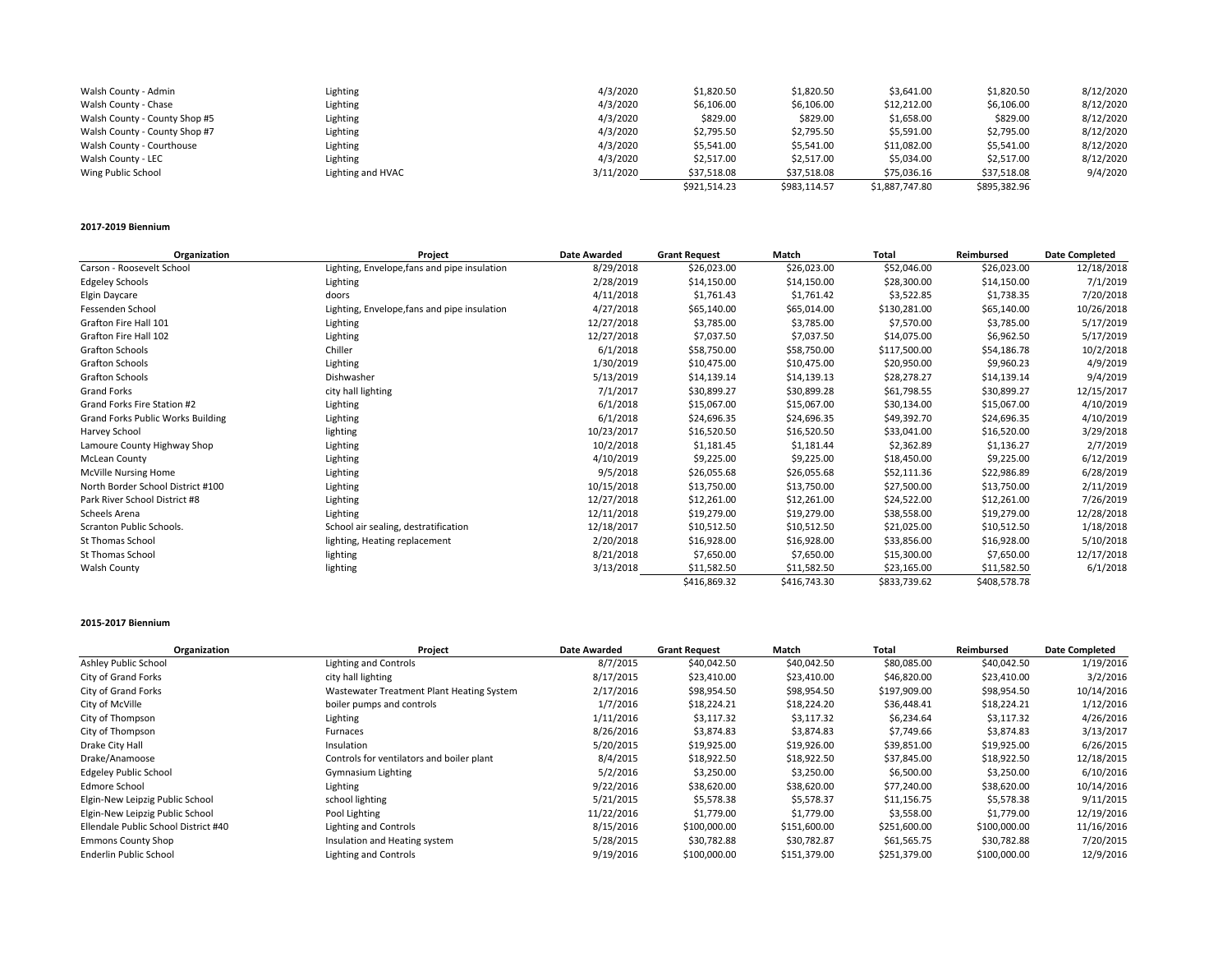| Walsh County - Admin          | Lighting          | 4/3/2020  | \$1,820.50   | \$1,820.50   | \$3,641.00     | \$1,820.50   | 8/12/2020 |
|-------------------------------|-------------------|-----------|--------------|--------------|----------------|--------------|-----------|
| Walsh County - Chase          | Lighting          | 4/3/2020  | \$6,106.00   | \$6,106.00   | \$12,212.00    | \$6,106.00   | 8/12/2020 |
| Walsh County - County Shop #5 | Lighting          | 4/3/2020  | \$829.00     | \$829.00     | \$1,658.00     | \$829.00     | 8/12/2020 |
| Walsh County - County Shop #7 | Lighting          | 4/3/2020  | \$2,795.50   | \$2,795.50   | \$5,591.00     | \$2,795.00   | 8/12/2020 |
| Walsh County - Courthouse     | Lighting          | 4/3/2020  | \$5,541.00   | \$5,541.00   | \$11,082.00    | \$5,541.00   | 8/12/2020 |
| Walsh County - LEC            | Lighting          | 4/3/2020  | \$2,517.00   | \$2,517.00   | \$5,034.00     | \$2,517.00   | 8/12/2020 |
| Wing Public School            | Lighting and HVAC | 3/11/2020 | \$37,518.08  | \$37,518.08  | \$75,036.16    | \$37,518.08  | 9/4/2020  |
|                               |                   |           | \$921,514.23 | \$983,114.57 | \$1,887,747.80 | \$895,382.96 |           |
|                               |                   |           |              |              |                |              |           |

#### **2017‐2019 Biennium**

| Organization                             | Project                                      | <b>Date Awarded</b> | <b>Grant Request</b> | Match        | <b>Total</b> | Reimbursed   | <b>Date Completed</b> |
|------------------------------------------|----------------------------------------------|---------------------|----------------------|--------------|--------------|--------------|-----------------------|
| Carson - Roosevelt School                | Lighting, Envelope, fans and pipe insulation | 8/29/2018           | \$26,023.00          | \$26,023.00  | \$52,046.00  | \$26,023.00  | 12/18/2018            |
| <b>Edgeley Schools</b>                   | Lighting                                     | 2/28/2019           | \$14,150.00          | \$14,150.00  | \$28,300.00  | \$14,150.00  | 7/1/2019              |
| Elgin Daycare                            | doors                                        | 4/11/2018           | \$1,761.43           | \$1,761.42   | \$3,522.85   | \$1,738.35   | 7/20/2018             |
| Fessenden School                         | Lighting, Envelope, fans and pipe insulation | 4/27/2018           | \$65,140.00          | \$65,014.00  | \$130,281.00 | \$65,140.00  | 10/26/2018            |
| Grafton Fire Hall 101                    | Lighting                                     | 12/27/2018          | \$3,785.00           | \$3,785.00   | \$7,570.00   | \$3,785.00   | 5/17/2019             |
| Grafton Fire Hall 102                    | Lighting                                     | 12/27/2018          | \$7,037.50           | \$7,037.50   | \$14,075.00  | \$6,962.50   | 5/17/2019             |
| Grafton Schools                          | Chiller                                      | 6/1/2018            | \$58,750.00          | \$58,750.00  | \$117,500.00 | \$54,186.78  | 10/2/2018             |
| <b>Grafton Schools</b>                   | Lighting                                     | 1/30/2019           | \$10,475.00          | \$10,475.00  | \$20,950.00  | \$9,960.23   | 4/9/2019              |
| Grafton Schools                          | Dishwasher                                   | 5/13/2019           | \$14,139.14          | \$14,139.13  | \$28,278.27  | \$14,139.14  | 9/4/2019              |
| <b>Grand Forks</b>                       | city hall lighting                           | 7/1/2017            | \$30,899.27          | \$30,899.28  | \$61,798.55  | \$30,899.27  | 12/15/2017            |
| Grand Forks Fire Station #2              | Lighting                                     | 6/1/2018            | \$15,067.00          | \$15,067.00  | \$30,134.00  | \$15,067.00  | 4/10/2019             |
| <b>Grand Forks Public Works Building</b> | Lighting                                     | 6/1/2018            | \$24,696.35          | \$24,696.35  | \$49,392.70  | \$24,696.35  | 4/10/2019             |
| Harvey School                            | lighting                                     | 10/23/2017          | \$16,520.50          | \$16,520.50  | \$33,041.00  | \$16,520.00  | 3/29/2018             |
| Lamoure County Highway Shop              | Lighting                                     | 10/2/2018           | \$1,181.45           | \$1,181.44   | \$2,362.89   | \$1,136.27   | 2/7/2019              |
| <b>McLean County</b>                     | Lighting                                     | 4/10/2019           | \$9,225.00           | \$9,225.00   | \$18,450.00  | \$9,225.00   | 6/12/2019             |
| McVille Nursing Home                     | Lighting                                     | 9/5/2018            | \$26,055.68          | \$26,055.68  | \$52,111.36  | \$22,986.89  | 6/28/2019             |
| North Border School District #100        | Lighting                                     | 10/15/2018          | \$13,750.00          | \$13,750.00  | \$27,500.00  | \$13,750.00  | 2/11/2019             |
| Park River School District #8            | Lighting                                     | 12/27/2018          | \$12,261.00          | \$12,261.00  | \$24,522.00  | \$12,261.00  | 7/26/2019             |
| Scheels Arena                            | Lighting                                     | 12/11/2018          | \$19,279.00          | \$19,279.00  | \$38,558.00  | \$19,279.00  | 12/28/2018            |
| Scranton Public Schools.                 | School air sealing, destratification         | 12/18/2017          | \$10,512.50          | \$10,512.50  | \$21,025.00  | \$10,512.50  | 1/18/2018             |
| St Thomas School                         | lighting, Heating replacement                | 2/20/2018           | \$16,928.00          | \$16,928.00  | \$33,856.00  | \$16,928.00  | 5/10/2018             |
| St Thomas School                         | lighting                                     | 8/21/2018           | \$7,650.00           | \$7,650.00   | \$15,300.00  | \$7,650.00   | 12/17/2018            |
| Walsh County                             | lighting                                     | 3/13/2018           | \$11,582.50          | \$11,582.50  | \$23,165.00  | \$11,582.50  | 6/1/2018              |
|                                          |                                              |                     | \$416,869.32         | \$416,743.30 | \$833,739.62 | \$408,578.78 |                       |

### **2015‐2017 Biennium**

| Organization                         | Project                                   | <b>Date Awarded</b> | <b>Grant Request</b> | Match        | Total        | Reimbursed   | <b>Date Completed</b> |
|--------------------------------------|-------------------------------------------|---------------------|----------------------|--------------|--------------|--------------|-----------------------|
| Ashley Public School                 | Lighting and Controls                     | 8/7/2015            | \$40,042.50          | \$40,042.50  | \$80,085.00  | \$40,042.50  | 1/19/2016             |
| City of Grand Forks                  | city hall lighting                        | 8/17/2015           | \$23,410.00          | \$23,410.00  | \$46,820.00  | \$23,410.00  | 3/2/2016              |
| City of Grand Forks                  | Wastewater Treatment Plant Heating System | 2/17/2016           | \$98,954.50          | \$98,954.50  | \$197,909.00 | \$98,954.50  | 10/14/2016            |
| City of McVille                      | boiler pumps and controls                 | 1/7/2016            | \$18,224.21          | \$18,224.20  | \$36,448.41  | \$18,224.21  | 1/12/2016             |
| City of Thompson                     | Lighting                                  | 1/11/2016           | \$3,117.32           | \$3,117.32   | \$6,234.64   | \$3,117.32   | 4/26/2016             |
| City of Thompson                     | Furnaces                                  | 8/26/2016           | \$3,874.83           | \$3,874.83   | \$7,749.66   | \$3,874.83   | 3/13/2017             |
| Drake City Hall                      | Insulation                                | 5/20/2015           | \$19,925.00          | \$19,926.00  | \$39,851.00  | \$19,925.00  | 6/26/2015             |
| Drake/Anamoose                       | Controls for ventilators and boiler plant | 8/4/2015            | \$18,922.50          | \$18,922.50  | \$37,845.00  | \$18,922.50  | 12/18/2015            |
| <b>Edgeley Public School</b>         | <b>Gymnasium Lighting</b>                 | 5/2/2016            | \$3,250.00           | \$3,250.00   | \$6,500.00   | \$3,250.00   | 6/10/2016             |
| Edmore School                        | Lighting                                  | 9/22/2016           | \$38,620.00          | \$38,620.00  | \$77,240.00  | \$38,620.00  | 10/14/2016            |
| Elgin-New Leipzig Public School      | school lighting                           | 5/21/2015           | \$5,578.38           | \$5,578.37   | \$11,156.75  | \$5,578.38   | 9/11/2015             |
| Elgin-New Leipzig Public School      | Pool Lighting                             | 11/22/2016          | \$1,779.00           | \$1,779.00   | \$3,558.00   | \$1,779.00   | 12/19/2016            |
| Ellendale Public School District #40 | Lighting and Controls                     | 8/15/2016           | \$100,000.00         | \$151,600.00 | \$251,600.00 | \$100,000.00 | 11/16/2016            |
| <b>Emmons County Shop</b>            | Insulation and Heating system             | 5/28/2015           | \$30,782.88          | \$30,782.87  | \$61,565.75  | \$30,782.88  | 7/20/2015             |
| Enderlin Public School               | Lighting and Controls                     | 9/19/2016           | \$100,000.00         | \$151,379.00 | \$251,379.00 | \$100,000.00 | 12/9/2016             |